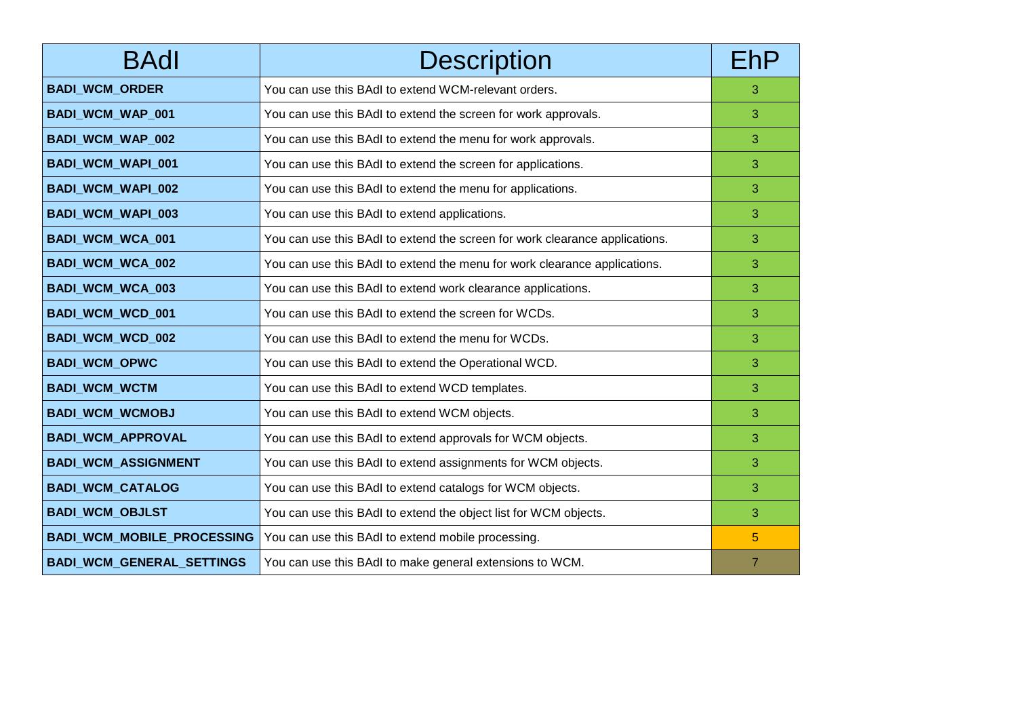| <b>BAdl</b>                       | <b>Description</b>                                                          | EhP            |
|-----------------------------------|-----------------------------------------------------------------------------|----------------|
| <b>BADI_WCM_ORDER</b>             | You can use this BAdI to extend WCM-relevant orders.                        | 3              |
| <b>BADI_WCM_WAP_001</b>           | You can use this BAdI to extend the screen for work approvals.              | 3              |
| BADI_WCM_WAP_002                  | You can use this BAdI to extend the menu for work approvals.                | 3              |
| <b>BADI_WCM_WAPI_001</b>          | You can use this BAdI to extend the screen for applications.                | 3              |
| BADI_WCM_WAPI_002                 | You can use this BAdI to extend the menu for applications.                  | 3              |
| <b>BADI WCM WAPI 003</b>          | You can use this BAdI to extend applications.                               | 3              |
| BADI_WCM_WCA_001                  | You can use this BAdI to extend the screen for work clearance applications. | 3              |
| <b>BADI_WCM_WCA_002</b>           | You can use this BAdI to extend the menu for work clearance applications.   | 3              |
| BADI_WCM_WCA_003                  | You can use this BAdI to extend work clearance applications.                | 3              |
| BADI_WCM_WCD_001                  | You can use this BAdI to extend the screen for WCDs.                        | 3              |
| BADI_WCM_WCD_002                  | You can use this BAdI to extend the menu for WCDs.                          | 3              |
| <b>BADI_WCM_OPWC</b>              | You can use this BAdI to extend the Operational WCD.                        | 3              |
| <b>BADI_WCM_WCTM</b>              | You can use this BAdI to extend WCD templates.                              | 3              |
| <b>BADI_WCM_WCMOBJ</b>            | You can use this BAdI to extend WCM objects.                                | 3              |
| <b>BADI_WCM_APPROVAL</b>          | You can use this BAdI to extend approvals for WCM objects.                  | 3              |
| <b>BADI_WCM_ASSIGNMENT</b>        | You can use this BAdI to extend assignments for WCM objects.                | 3              |
| <b>BADI_WCM_CATALOG</b>           | You can use this BAdI to extend catalogs for WCM objects.                   | 3              |
| <b>BADI_WCM_OBJLST</b>            | You can use this BAdI to extend the object list for WCM objects.            | 3              |
| <b>BADI_WCM_MOBILE_PROCESSING</b> | You can use this BAdI to extend mobile processing.                          | 5              |
| BADI_WCM_GENERAL_SETTINGS         | You can use this BAdI to make general extensions to WCM.                    | $\overline{7}$ |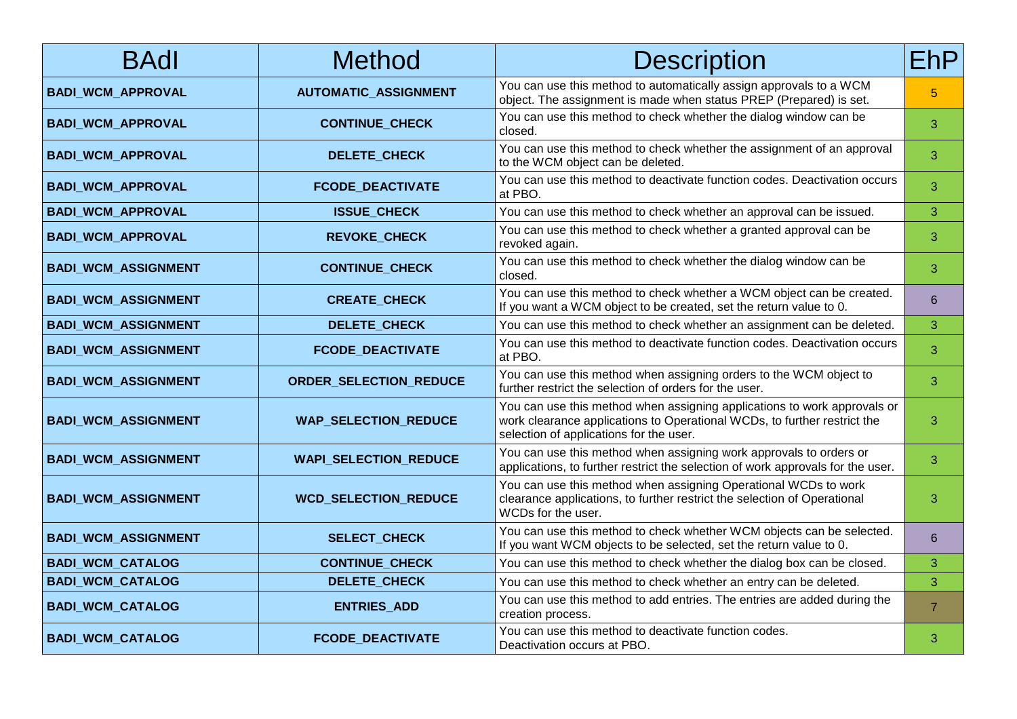| <b>BAdl</b>                | Method                        | <b>Description</b>                                                                                                                                                                              | EhP            |
|----------------------------|-------------------------------|-------------------------------------------------------------------------------------------------------------------------------------------------------------------------------------------------|----------------|
| <b>BADI_WCM_APPROVAL</b>   | <b>AUTOMATIC_ASSIGNMENT</b>   | You can use this method to automatically assign approvals to a WCM<br>object. The assignment is made when status PREP (Prepared) is set.                                                        | 5              |
| <b>BADI_WCM_APPROVAL</b>   | <b>CONTINUE_CHECK</b>         | You can use this method to check whether the dialog window can be<br>closed.                                                                                                                    | 3              |
| <b>BADI_WCM_APPROVAL</b>   | DELETE_CHECK                  | You can use this method to check whether the assignment of an approval<br>to the WCM object can be deleted.                                                                                     | 3              |
| <b>BADI_WCM_APPROVAL</b>   | <b>FCODE_DEACTIVATE</b>       | You can use this method to deactivate function codes. Deactivation occurs<br>at PBO.                                                                                                            | 3              |
| <b>BADI_WCM_APPROVAL</b>   | <b>ISSUE_CHECK</b>            | You can use this method to check whether an approval can be issued.                                                                                                                             | 3              |
| <b>BADI_WCM_APPROVAL</b>   | <b>REVOKE CHECK</b>           | You can use this method to check whether a granted approval can be<br>revoked again.                                                                                                            | 3              |
| <b>BADI_WCM_ASSIGNMENT</b> | <b>CONTINUE CHECK</b>         | You can use this method to check whether the dialog window can be<br>closed.                                                                                                                    | 3              |
| <b>BADI_WCM_ASSIGNMENT</b> | <b>CREATE CHECK</b>           | You can use this method to check whether a WCM object can be created.<br>If you want a WCM object to be created, set the return value to 0.                                                     | 6              |
| <b>BADI_WCM_ASSIGNMENT</b> | DELETE_CHECK                  | You can use this method to check whether an assignment can be deleted.                                                                                                                          | 3              |
| <b>BADI_WCM_ASSIGNMENT</b> | <b>FCODE DEACTIVATE</b>       | You can use this method to deactivate function codes. Deactivation occurs<br>at PBO.                                                                                                            | 3              |
| <b>BADI_WCM_ASSIGNMENT</b> | <b>ORDER_SELECTION_REDUCE</b> | You can use this method when assigning orders to the WCM object to<br>further restrict the selection of orders for the user.                                                                    | 3              |
| <b>BADI_WCM_ASSIGNMENT</b> | <b>WAP_SELECTION_REDUCE</b>   | You can use this method when assigning applications to work approvals or<br>work clearance applications to Operational WCDs, to further restrict the<br>selection of applications for the user. | 3              |
| <b>BADI_WCM_ASSIGNMENT</b> | <b>WAPI_SELECTION_REDUCE</b>  | You can use this method when assigning work approvals to orders or<br>applications, to further restrict the selection of work approvals for the user.                                           | 3              |
| <b>BADI_WCM_ASSIGNMENT</b> | <b>WCD_SELECTION_REDUCE</b>   | You can use this method when assigning Operational WCDs to work<br>clearance applications, to further restrict the selection of Operational<br>WCDs for the user.                               | 3              |
| <b>BADI_WCM_ASSIGNMENT</b> | <b>SELECT_CHECK</b>           | You can use this method to check whether WCM objects can be selected.<br>If you want WCM objects to be selected, set the return value to 0.                                                     | 6              |
| <b>BADI_WCM_CATALOG</b>    | <b>CONTINUE_CHECK</b>         | You can use this method to check whether the dialog box can be closed.                                                                                                                          | 3              |
| <b>BADI_WCM_CATALOG</b>    | DELETE_CHECK                  | You can use this method to check whether an entry can be deleted.                                                                                                                               | 3              |
| <b>BADI_WCM_CATALOG</b>    | <b>ENTRIES_ADD</b>            | You can use this method to add entries. The entries are added during the<br>creation process.                                                                                                   | $\overline{7}$ |
| <b>BADI_WCM_CATALOG</b>    | <b>FCODE_DEACTIVATE</b>       | You can use this method to deactivate function codes.<br>Deactivation occurs at PBO.                                                                                                            | 3              |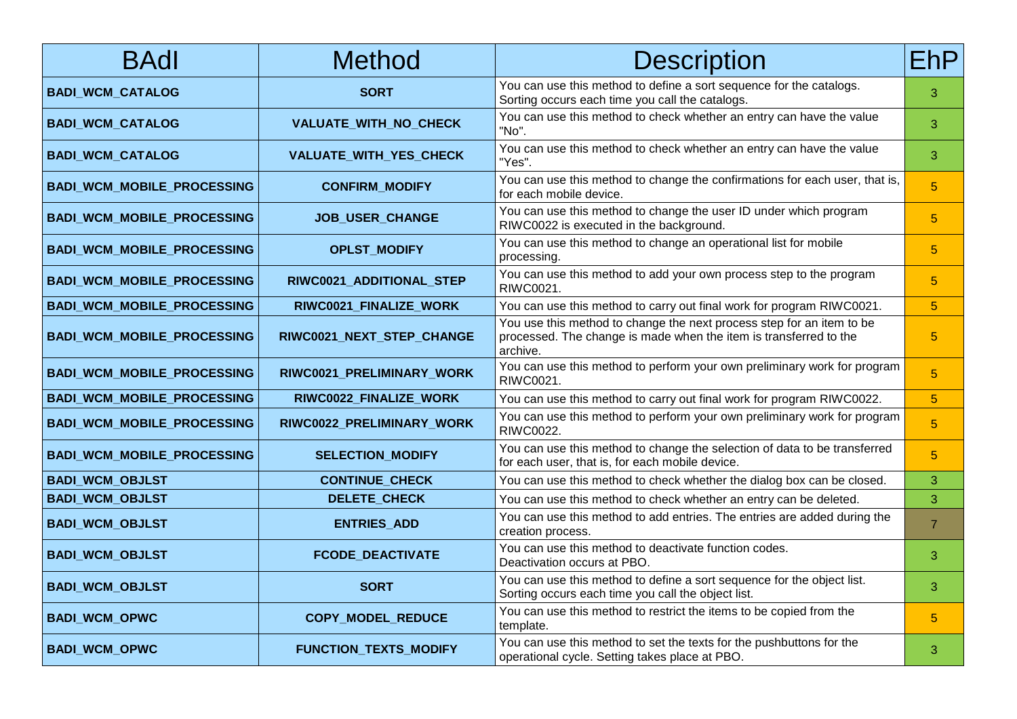| <b>BAdl</b>                       | <b>Method</b>                | <b>Description</b>                                                                                                                                     | EhP.           |
|-----------------------------------|------------------------------|--------------------------------------------------------------------------------------------------------------------------------------------------------|----------------|
| <b>BADI_WCM_CATALOG</b>           | <b>SORT</b>                  | You can use this method to define a sort sequence for the catalogs.<br>Sorting occurs each time you call the catalogs.                                 | 3              |
| <b>BADI_WCM_CATALOG</b>           | VALUATE_WITH_NO_CHECK        | You can use this method to check whether an entry can have the value<br>"No".                                                                          | 3              |
| <b>BADI_WCM_CATALOG</b>           | VALUATE_WITH_YES_CHECK       | You can use this method to check whether an entry can have the value<br>"Yes".                                                                         | 3              |
| BADI_WCM_MOBILE_PROCESSING        | <b>CONFIRM_MODIFY</b>        | You can use this method to change the confirmations for each user, that is,<br>for each mobile device.                                                 | $5\phantom{.}$ |
| BADI_WCM_MOBILE_PROCESSING        | JOB_USER_CHANGE              | You can use this method to change the user ID under which program<br>RIWC0022 is executed in the background.                                           | $5\phantom{.}$ |
| <b>BADI_WCM_MOBILE_PROCESSING</b> | <b>OPLST_MODIFY</b>          | You can use this method to change an operational list for mobile<br>processing.                                                                        | 5              |
| BADI_WCM_MOBILE_PROCESSING        | RIWC0021_ADDITIONAL_STEP     | You can use this method to add your own process step to the program<br>RIWC0021.                                                                       | $5\phantom{.}$ |
| <b>BADI_WCM_MOBILE_PROCESSING</b> | RIWC0021_FINALIZE_WORK       | You can use this method to carry out final work for program RIWC0021.                                                                                  | $5\phantom{.}$ |
| <b>BADI_WCM_MOBILE_PROCESSING</b> | RIWC0021_NEXT_STEP_CHANGE    | You use this method to change the next process step for an item to be<br>processed. The change is made when the item is transferred to the<br>archive. | $5\phantom{.}$ |
| <b>BADI_WCM_MOBILE_PROCESSING</b> | RIWC0021_PRELIMINARY_WORK    | You can use this method to perform your own preliminary work for program<br>RIWC0021.                                                                  | $5\phantom{.}$ |
| <b>BADI_WCM_MOBILE_PROCESSING</b> | RIWC0022_FINALIZE_WORK       | You can use this method to carry out final work for program RIWC0022.                                                                                  | $\overline{5}$ |
| <b>BADI_WCM_MOBILE_PROCESSING</b> | RIWC0022_PRELIMINARY_WORK    | You can use this method to perform your own preliminary work for program<br><b>RIWC0022.</b>                                                           | $\overline{5}$ |
| BADI_WCM_MOBILE_PROCESSING        | <b>SELECTION_MODIFY</b>      | You can use this method to change the selection of data to be transferred<br>for each user, that is, for each mobile device.                           | $5\phantom{.}$ |
| <b>BADI_WCM_OBJLST</b>            | <b>CONTINUE_CHECK</b>        | You can use this method to check whether the dialog box can be closed.                                                                                 | 3              |
| <b>BADI_WCM_OBJLST</b>            | <b>DELETE_CHECK</b>          | You can use this method to check whether an entry can be deleted.                                                                                      | 3              |
| <b>BADI_WCM_OBJLST</b>            | <b>ENTRIES_ADD</b>           | You can use this method to add entries. The entries are added during the<br>creation process.                                                          | $\overline{7}$ |
| <b>BADI_WCM_OBJLST</b>            | FCODE_DEACTIVATE             | You can use this method to deactivate function codes.<br>Deactivation occurs at PBO.                                                                   | 3              |
| <b>BADI_WCM_OBJLST</b>            | <b>SORT</b>                  | You can use this method to define a sort sequence for the object list.<br>Sorting occurs each time you call the object list.                           | 3              |
| <b>BADI_WCM_OPWC</b>              | COPY_MODEL_REDUCE            | You can use this method to restrict the items to be copied from the<br>template.                                                                       | 5              |
| <b>BADI_WCM_OPWC</b>              | <b>FUNCTION_TEXTS_MODIFY</b> | You can use this method to set the texts for the pushbuttons for the<br>operational cycle. Setting takes place at PBO.                                 | 3              |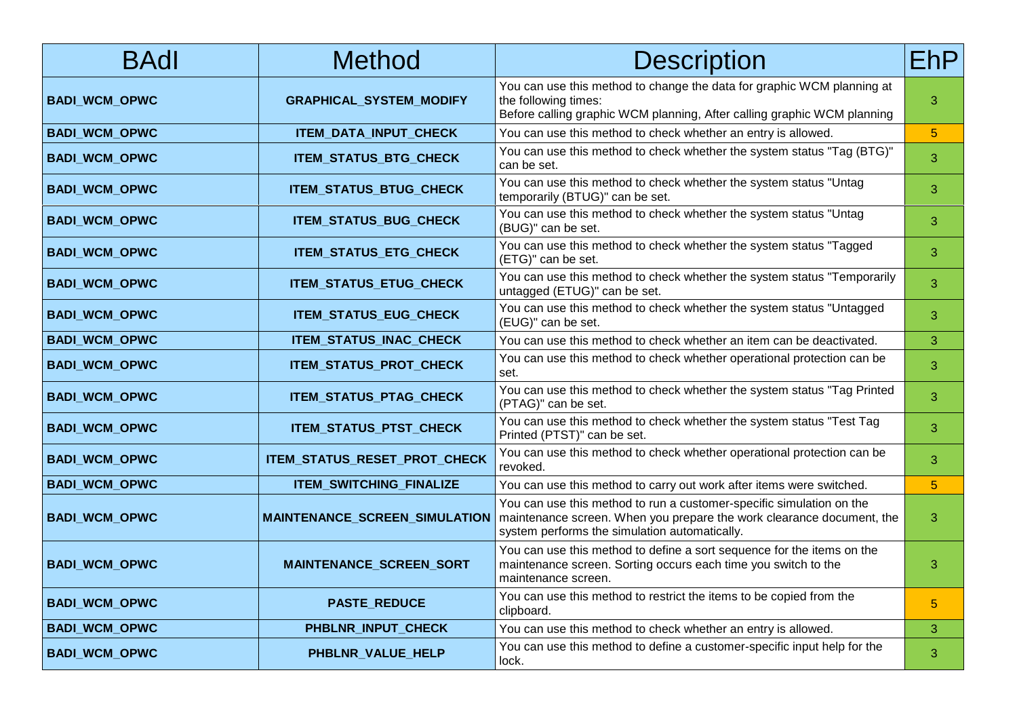| <b>BAdl</b>          | <b>Method</b>                  | <b>Description</b>                                                                                                                                                                                                                    | EhP.           |
|----------------------|--------------------------------|---------------------------------------------------------------------------------------------------------------------------------------------------------------------------------------------------------------------------------------|----------------|
| <b>BADI_WCM_OPWC</b> | <b>GRAPHICAL_SYSTEM_MODIFY</b> | You can use this method to change the data for graphic WCM planning at<br>the following times:<br>Before calling graphic WCM planning, After calling graphic WCM planning                                                             | 3              |
| <b>BADI_WCM_OPWC</b> | ITEM_DATA_INPUT_CHECK          | You can use this method to check whether an entry is allowed.                                                                                                                                                                         | 5 <sup>5</sup> |
| <b>BADI_WCM_OPWC</b> | <b>ITEM_STATUS_BTG_CHECK</b>   | You can use this method to check whether the system status "Tag (BTG)"<br>can be set.                                                                                                                                                 | 3              |
| <b>BADI_WCM_OPWC</b> | ITEM_STATUS_BTUG_CHECK         | You can use this method to check whether the system status "Untag<br>temporarily (BTUG)" can be set.                                                                                                                                  | 3              |
| <b>BADI_WCM_OPWC</b> | ITEM_STATUS_BUG_CHECK          | You can use this method to check whether the system status "Untag<br>(BUG)" can be set.                                                                                                                                               | 3              |
| <b>BADI_WCM_OPWC</b> | ITEM_STATUS_ETG_CHECK          | You can use this method to check whether the system status "Tagged<br>(ETG)" can be set.                                                                                                                                              | 3              |
| <b>BADI_WCM_OPWC</b> | ITEM_STATUS_ETUG_CHECK         | You can use this method to check whether the system status "Temporarily<br>untagged (ETUG)" can be set.                                                                                                                               | 3              |
| <b>BADI_WCM_OPWC</b> | ITEM_STATUS_EUG_CHECK          | You can use this method to check whether the system status "Untagged<br>(EUG)" can be set.                                                                                                                                            | 3              |
| <b>BADI_WCM_OPWC</b> | ITEM_STATUS_INAC_CHECK         | You can use this method to check whether an item can be deactivated.                                                                                                                                                                  | 3              |
| <b>BADI_WCM_OPWC</b> | ITEM_STATUS_PROT_CHECK         | You can use this method to check whether operational protection can be<br>set.                                                                                                                                                        | 3              |
| <b>BADI_WCM_OPWC</b> | ITEM_STATUS_PTAG_CHECK         | You can use this method to check whether the system status "Tag Printed<br>(PTAG)" can be set.                                                                                                                                        | 3              |
| <b>BADI_WCM_OPWC</b> | ITEM_STATUS_PTST_CHECK         | You can use this method to check whether the system status "Test Tag<br>Printed (PTST)" can be set.                                                                                                                                   | 3              |
| <b>BADI_WCM_OPWC</b> | ITEM_STATUS_RESET_PROT_CHECK   | You can use this method to check whether operational protection can be<br>revoked.                                                                                                                                                    | 3              |
| <b>BADI_WCM_OPWC</b> | ITEM_SWITCHING_FINALIZE        | You can use this method to carry out work after items were switched.                                                                                                                                                                  | $5\phantom{.}$ |
| <b>BADI_WCM_OPWC</b> |                                | You can use this method to run a customer-specific simulation on the<br><b>MAINTENANCE_SCREEN_SIMULATION</b>   maintenance screen. When you prepare the work clearance document, the<br>system performs the simulation automatically. | 3              |
| <b>BADI_WCM_OPWC</b> | <b>MAINTENANCE_SCREEN_SORT</b> | You can use this method to define a sort sequence for the items on the<br>maintenance screen. Sorting occurs each time you switch to the<br>maintenance screen.                                                                       | 3              |
| <b>BADI_WCM_OPWC</b> | <b>PASTE_REDUCE</b>            | You can use this method to restrict the items to be copied from the<br>clipboard.                                                                                                                                                     | 5              |
| <b>BADI_WCM_OPWC</b> | PHBLNR_INPUT_CHECK             | You can use this method to check whether an entry is allowed.                                                                                                                                                                         | 3              |
| <b>BADI_WCM_OPWC</b> | PHBLNR_VALUE_HELP              | You can use this method to define a customer-specific input help for the<br>lock.                                                                                                                                                     | 3              |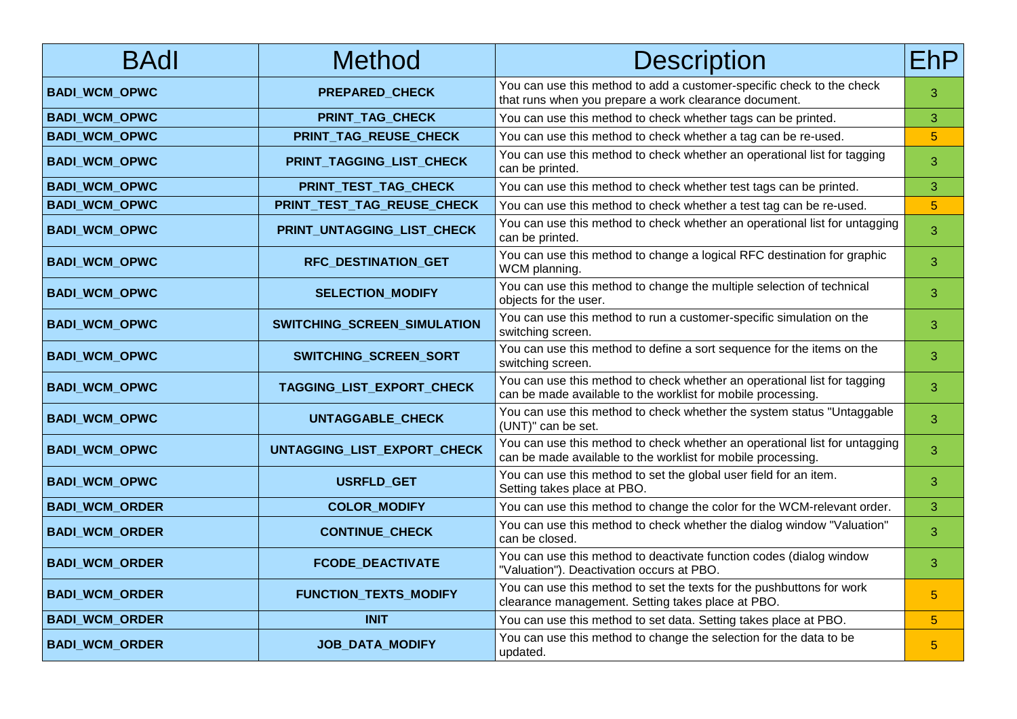| <b>BAdl</b>           | <b>Method</b>                | <b>Description</b>                                                                                                                         | EhP.           |
|-----------------------|------------------------------|--------------------------------------------------------------------------------------------------------------------------------------------|----------------|
| <b>BADI_WCM_OPWC</b>  | PREPARED_CHECK               | You can use this method to add a customer-specific check to the check<br>that runs when you prepare a work clearance document.             | 3              |
| <b>BADI_WCM_OPWC</b>  | PRINT_TAG_CHECK              | You can use this method to check whether tags can be printed.                                                                              | 3              |
| <b>BADI_WCM_OPWC</b>  | PRINT_TAG_REUSE_CHECK        | You can use this method to check whether a tag can be re-used.                                                                             | $\overline{5}$ |
| <b>BADI_WCM_OPWC</b>  | PRINT_TAGGING_LIST_CHECK     | You can use this method to check whether an operational list for tagging<br>can be printed.                                                | 3              |
| <b>BADI_WCM_OPWC</b>  | PRINT_TEST_TAG_CHECK         | You can use this method to check whether test tags can be printed.                                                                         | 3              |
| <b>BADI_WCM_OPWC</b>  | PRINT_TEST_TAG_REUSE_CHECK   | You can use this method to check whether a test tag can be re-used.                                                                        | $\overline{5}$ |
| <b>BADI_WCM_OPWC</b>  | PRINT_UNTAGGING_LIST_CHECK   | You can use this method to check whether an operational list for untagging<br>can be printed.                                              | 3              |
| <b>BADI_WCM_OPWC</b>  | RFC_DESTINATION_GET          | You can use this method to change a logical RFC destination for graphic<br>WCM planning.                                                   | 3              |
| <b>BADI_WCM_OPWC</b>  | <b>SELECTION_MODIFY</b>      | You can use this method to change the multiple selection of technical<br>objects for the user.                                             | 3              |
| <b>BADI_WCM_OPWC</b>  | SWITCHING_SCREEN_SIMULATION  | You can use this method to run a customer-specific simulation on the<br>switching screen.                                                  | 3              |
| <b>BADI_WCM_OPWC</b>  | SWITCHING_SCREEN_SORT        | You can use this method to define a sort sequence for the items on the<br>switching screen.                                                | 3              |
| <b>BADI_WCM_OPWC</b>  | TAGGING_LIST_EXPORT_CHECK    | You can use this method to check whether an operational list for tagging<br>can be made available to the worklist for mobile processing.   | 3              |
| <b>BADI_WCM_OPWC</b>  | UNTAGGABLE_CHECK             | You can use this method to check whether the system status "Untaggable"<br>(UNT)" can be set.                                              | 3              |
| <b>BADI_WCM_OPWC</b>  | UNTAGGING_LIST_EXPORT_CHECK  | You can use this method to check whether an operational list for untagging<br>can be made available to the worklist for mobile processing. | 3              |
| <b>BADI_WCM_OPWC</b>  | USRFLD_GET                   | You can use this method to set the global user field for an item.<br>Setting takes place at PBO.                                           | 3              |
| <b>BADI_WCM_ORDER</b> | <b>COLOR_MODIFY</b>          | You can use this method to change the color for the WCM-relevant order.                                                                    | 3              |
| <b>BADI_WCM_ORDER</b> | <b>CONTINUE_CHECK</b>        | You can use this method to check whether the dialog window "Valuation"<br>can be closed.                                                   | 3              |
| <b>BADI_WCM_ORDER</b> | <b>FCODE_DEACTIVATE</b>      | You can use this method to deactivate function codes (dialog window<br>"Valuation"). Deactivation occurs at PBO.                           | 3              |
| <b>BADI_WCM_ORDER</b> | <b>FUNCTION_TEXTS_MODIFY</b> | You can use this method to set the texts for the pushbuttons for work<br>clearance management. Setting takes place at PBO.                 | 5              |
| <b>BADI_WCM_ORDER</b> | <b>INIT</b>                  | You can use this method to set data. Setting takes place at PBO.                                                                           | 5 <sup>5</sup> |
| <b>BADI_WCM_ORDER</b> | <b>JOB_DATA_MODIFY</b>       | You can use this method to change the selection for the data to be<br>updated.                                                             | 5              |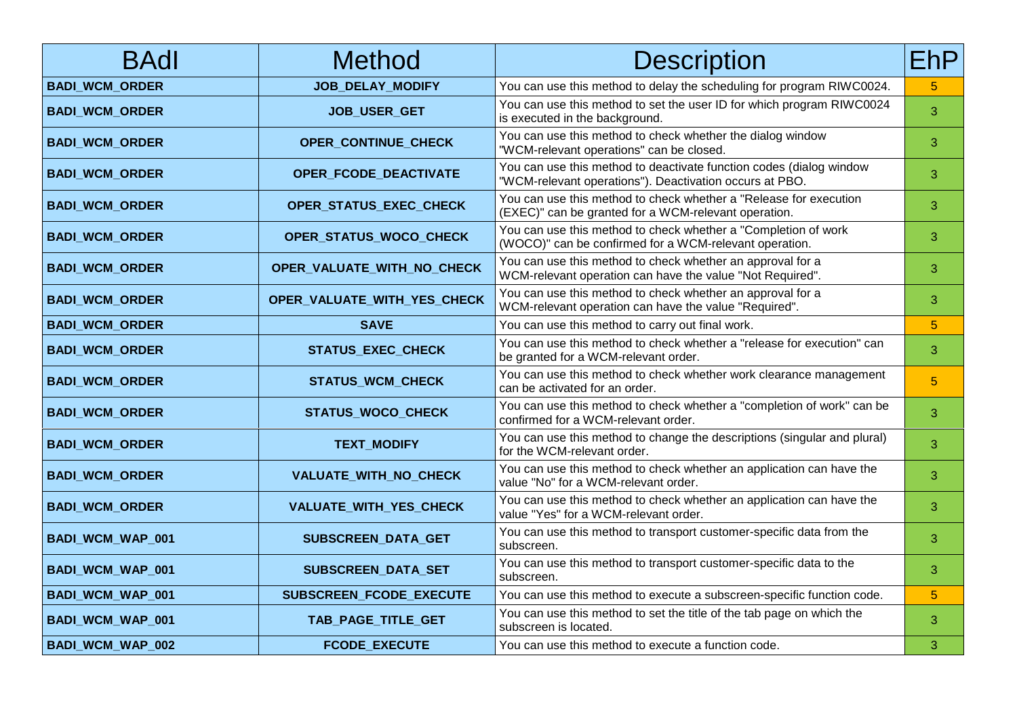| <b>BAdl</b>           | Method                      | <b>Description</b>                                                                                                             | EhP            |
|-----------------------|-----------------------------|--------------------------------------------------------------------------------------------------------------------------------|----------------|
| <b>BADI_WCM_ORDER</b> | JOB_DELAY_MODIFY            | You can use this method to delay the scheduling for program RIWC0024.                                                          | $5\phantom{.}$ |
| <b>BADI_WCM_ORDER</b> | JOB_USER_GET                | You can use this method to set the user ID for which program RIWC0024<br>is executed in the background.                        | 3              |
| <b>BADI_WCM_ORDER</b> | OPER_CONTINUE_CHECK         | You can use this method to check whether the dialog window<br>"WCM-relevant operations" can be closed.                         | 3              |
| <b>BADI WCM ORDER</b> | OPER FCODE DEACTIVATE       | You can use this method to deactivate function codes (dialog window<br>"WCM-relevant operations"). Deactivation occurs at PBO. | 3              |
| <b>BADI_WCM_ORDER</b> | OPER_STATUS_EXEC_CHECK      | You can use this method to check whether a "Release for execution<br>(EXEC)" can be granted for a WCM-relevant operation.      | 3              |
| <b>BADI_WCM_ORDER</b> | OPER_STATUS_WOCO_CHECK      | You can use this method to check whether a "Completion of work<br>(WOCO)" can be confirmed for a WCM-relevant operation.       | 3              |
| <b>BADI_WCM_ORDER</b> | OPER_VALUATE_WITH_NO_CHECK  | You can use this method to check whether an approval for a<br>WCM-relevant operation can have the value "Not Required".        | 3              |
| <b>BADI_WCM_ORDER</b> | OPER_VALUATE_WITH_YES_CHECK | You can use this method to check whether an approval for a<br>WCM-relevant operation can have the value "Required".            | 3              |
| <b>BADI_WCM_ORDER</b> | <b>SAVE</b>                 | You can use this method to carry out final work.                                                                               | $\overline{5}$ |
| <b>BADI_WCM_ORDER</b> | STATUS_EXEC_CHECK           | You can use this method to check whether a "release for execution" can<br>be granted for a WCM-relevant order.                 | 3              |
| <b>BADI_WCM_ORDER</b> | <b>STATUS_WCM_CHECK</b>     | You can use this method to check whether work clearance management<br>can be activated for an order.                           | $5\phantom{.}$ |
| <b>BADI_WCM_ORDER</b> | STATUS_WOCO_CHECK           | You can use this method to check whether a "completion of work" can be<br>confirmed for a WCM-relevant order.                  | 3              |
| <b>BADI_WCM_ORDER</b> | <b>TEXT_MODIFY</b>          | You can use this method to change the descriptions (singular and plural)<br>for the WCM-relevant order.                        | 3              |
| <b>BADI_WCM_ORDER</b> | VALUATE_WITH_NO_CHECK       | You can use this method to check whether an application can have the<br>value "No" for a WCM-relevant order.                   | 3              |
| <b>BADI_WCM_ORDER</b> | VALUATE_WITH_YES_CHECK      | You can use this method to check whether an application can have the<br>value "Yes" for a WCM-relevant order.                  | 3              |
| BADI_WCM_WAP_001      | SUBSCREEN_DATA_GET          | You can use this method to transport customer-specific data from the<br>subscreen.                                             | 3              |
| BADI_WCM_WAP_001      | SUBSCREEN_DATA_SET          | You can use this method to transport customer-specific data to the<br>subscreen.                                               | 3              |
| BADI_WCM_WAP_001      | SUBSCREEN_FCODE_EXECUTE     | You can use this method to execute a subscreen-specific function code.                                                         | $5\phantom{.}$ |
| BADI_WCM_WAP_001      | TAB_PAGE_TITLE_GET          | You can use this method to set the title of the tab page on which the<br>subscreen is located.                                 | 3              |
| BADI_WCM_WAP_002      | <b>FCODE EXECUTE</b>        | You can use this method to execute a function code.                                                                            | 3              |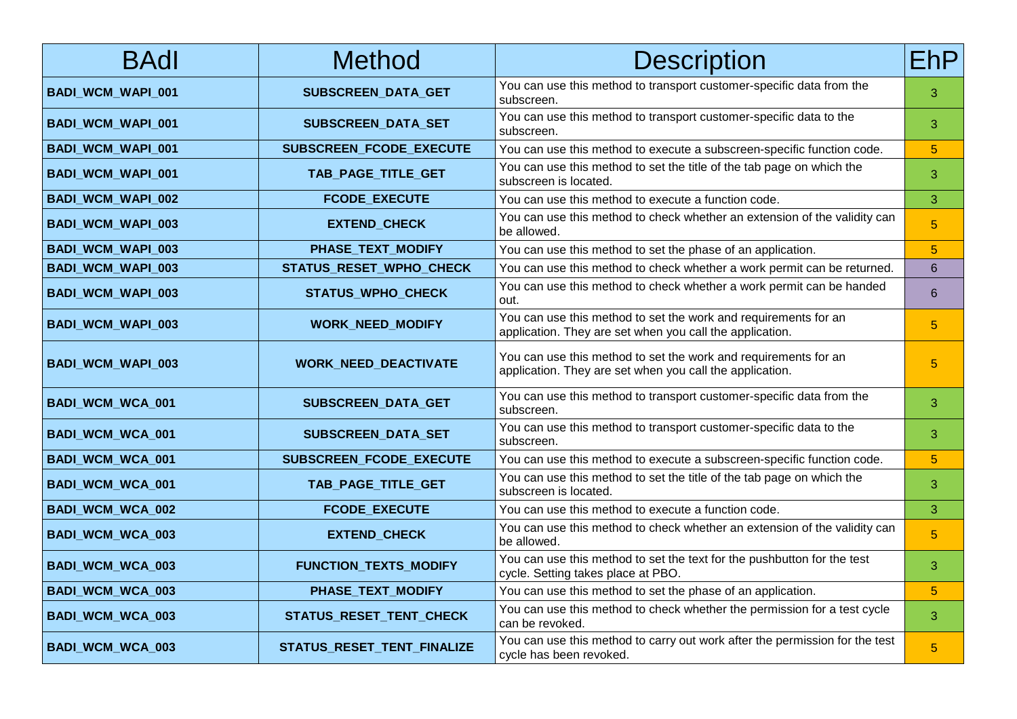| <b>BAdl</b>              | Method                       | <b>Description</b>                                                                                                          | EhP.            |
|--------------------------|------------------------------|-----------------------------------------------------------------------------------------------------------------------------|-----------------|
| <b>BADI_WCM_WAPI_001</b> | SUBSCREEN_DATA_GET           | You can use this method to transport customer-specific data from the<br>subscreen.                                          | 3               |
| <b>BADI_WCM_WAPI_001</b> | SUBSCREEN_DATA_SET           | You can use this method to transport customer-specific data to the<br>subscreen.                                            | 3               |
| BADI_WCM_WAPI_001        | SUBSCREEN_FCODE_EXECUTE      | You can use this method to execute a subscreen-specific function code.                                                      | $5\phantom{.}$  |
| <b>BADI_WCM_WAPI_001</b> | TAB_PAGE_TITLE_GET           | You can use this method to set the title of the tab page on which the<br>subscreen is located.                              | 3               |
| BADI_WCM_WAPI_002        | <b>FCODE EXECUTE</b>         | You can use this method to execute a function code.                                                                         | 3               |
| BADI_WCM_WAPI_003        | <b>EXTEND_CHECK</b>          | You can use this method to check whether an extension of the validity can<br>be allowed.                                    | $5\phantom{.}$  |
| BADI_WCM_WAPI_003        | PHASE_TEXT_MODIFY            | You can use this method to set the phase of an application.                                                                 | 5               |
| BADI_WCM_WAPI_003        | STATUS_RESET_WPHO_CHECK      | You can use this method to check whether a work permit can be returned.                                                     | 6               |
| <b>BADI_WCM_WAPI_003</b> | <b>STATUS_WPHO_CHECK</b>     | You can use this method to check whether a work permit can be handed<br>out.                                                | 6               |
| <b>BADI_WCM_WAPI_003</b> | <b>WORK_NEED_MODIFY</b>      | You can use this method to set the work and requirements for an<br>application. They are set when you call the application. | $\overline{5}$  |
| <b>BADI_WCM_WAPI_003</b> | <b>WORK_NEED_DEACTIVATE</b>  | You can use this method to set the work and requirements for an<br>application. They are set when you call the application. | 5               |
| BADI_WCM_WCA_001         | SUBSCREEN_DATA_GET           | You can use this method to transport customer-specific data from the<br>subscreen.                                          | 3               |
| BADI_WCM_WCA_001         | SUBSCREEN_DATA_SET           | You can use this method to transport customer-specific data to the<br>subscreen.                                            | 3               |
| BADI_WCM_WCA_001         | SUBSCREEN_FCODE_EXECUTE      | You can use this method to execute a subscreen-specific function code.                                                      | $5\phantom{.0}$ |
| BADI_WCM_WCA_001         | TAB_PAGE_TITLE_GET           | You can use this method to set the title of the tab page on which the<br>subscreen is located.                              | 3               |
| BADI_WCM_WCA_002         | <b>FCODE_EXECUTE</b>         | You can use this method to execute a function code.                                                                         | 3               |
| BADI_WCM_WCA_003         | <b>EXTEND_CHECK</b>          | You can use this method to check whether an extension of the validity can<br>be allowed.                                    | $\overline{5}$  |
| BADI_WCM_WCA_003         | <b>FUNCTION_TEXTS_MODIFY</b> | You can use this method to set the text for the pushbutton for the test<br>cycle. Setting takes place at PBO.               | 3               |
| BADI_WCM_WCA_003         | PHASE_TEXT_MODIFY            | You can use this method to set the phase of an application.                                                                 | $\overline{5}$  |
| BADI_WCM_WCA_003         | STATUS_RESET_TENT_CHECK      | You can use this method to check whether the permission for a test cycle<br>can be revoked.                                 | 3               |
| BADI_WCM_WCA_003         | STATUS_RESET_TENT_FINALIZE   | You can use this method to carry out work after the permission for the test<br>cycle has been revoked.                      | $\overline{5}$  |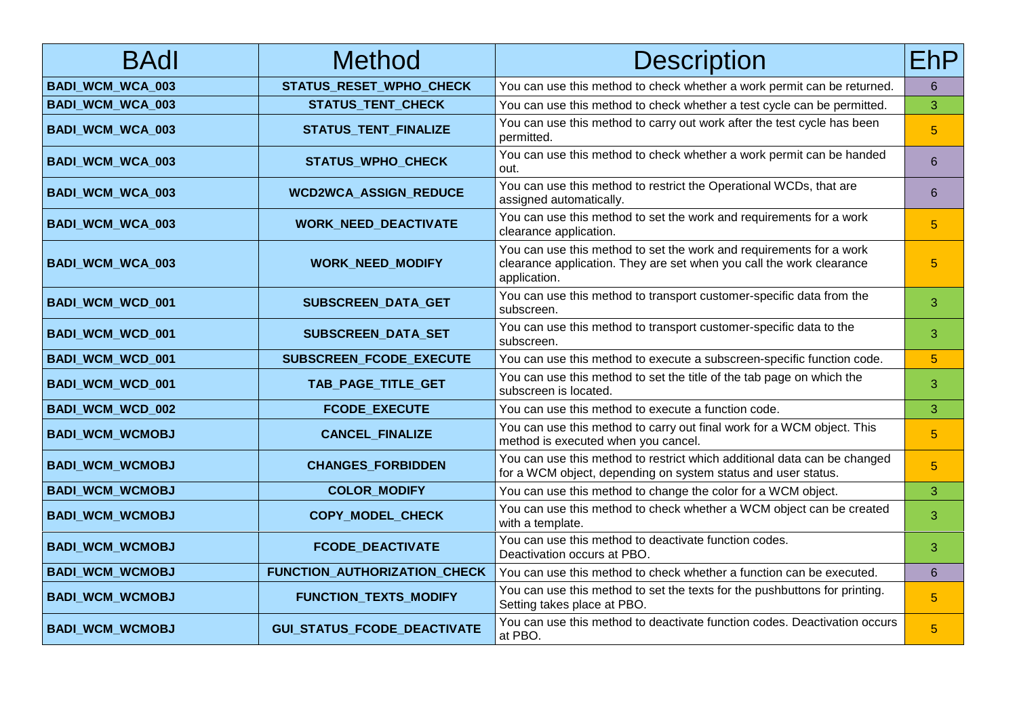| <b>BAdl</b>             | <b>Method</b>                      | <b>Description</b>                                                                                                                                          | <b>EhP</b>     |
|-------------------------|------------------------------------|-------------------------------------------------------------------------------------------------------------------------------------------------------------|----------------|
| <b>BADI_WCM_WCA_003</b> | STATUS_RESET_WPHO_CHECK            | You can use this method to check whether a work permit can be returned.                                                                                     | 6              |
| BADI_WCM_WCA_003        | <b>STATUS_TENT_CHECK</b>           | You can use this method to check whether a test cycle can be permitted.                                                                                     | 3              |
| BADI_WCM_WCA_003        | STATUS_TENT_FINALIZE               | You can use this method to carry out work after the test cycle has been<br>permitted.                                                                       | 5              |
| BADI_WCM_WCA_003        | <b>STATUS_WPHO_CHECK</b>           | You can use this method to check whether a work permit can be handed<br>out.                                                                                | 6              |
| BADI_WCM_WCA_003        | <b>WCD2WCA ASSIGN REDUCE</b>       | You can use this method to restrict the Operational WCDs, that are<br>assigned automatically.                                                               | 6              |
| BADI_WCM_WCA_003        | <b>WORK_NEED_DEACTIVATE</b>        | You can use this method to set the work and requirements for a work<br>clearance application.                                                               | 5              |
| <b>BADI_WCM_WCA_003</b> | <b>WORK_NEED_MODIFY</b>            | You can use this method to set the work and requirements for a work<br>clearance application. They are set when you call the work clearance<br>application. | 5 <sup>5</sup> |
| BADI_WCM_WCD_001        | SUBSCREEN_DATA_GET                 | You can use this method to transport customer-specific data from the<br>subscreen.                                                                          | 3              |
| BADI_WCM_WCD_001        | SUBSCREEN_DATA_SET                 | You can use this method to transport customer-specific data to the<br>subscreen.                                                                            | 3              |
| BADI_WCM_WCD_001        | SUBSCREEN_FCODE_EXECUTE            | You can use this method to execute a subscreen-specific function code.                                                                                      | 5              |
| BADI_WCM_WCD_001        | TAB_PAGE_TITLE_GET                 | You can use this method to set the title of the tab page on which the<br>subscreen is located.                                                              | 3              |
| BADI_WCM_WCD_002        | <b>FCODE EXECUTE</b>               | You can use this method to execute a function code.                                                                                                         | 3              |
| <b>BADI_WCM_WCMOBJ</b>  | <b>CANCEL_FINALIZE</b>             | You can use this method to carry out final work for a WCM object. This<br>method is executed when you cancel.                                               | 5 <sup>5</sup> |
| <b>BADI_WCM_WCMOBJ</b>  | <b>CHANGES_FORBIDDEN</b>           | You can use this method to restrict which additional data can be changed<br>for a WCM object, depending on system status and user status.                   | $5\phantom{.}$ |
| <b>BADI_WCM_WCMOBJ</b>  | <b>COLOR_MODIFY</b>                | You can use this method to change the color for a WCM object.                                                                                               | 3              |
| <b>BADI_WCM_WCMOBJ</b>  | COPY_MODEL_CHECK                   | You can use this method to check whether a WCM object can be created<br>with a template.                                                                    | 3              |
| <b>BADI_WCM_WCMOBJ</b>  | <b>FCODE_DEACTIVATE</b>            | You can use this method to deactivate function codes.<br>Deactivation occurs at PBO.                                                                        | 3              |
| <b>BADI_WCM_WCMOBJ</b>  | FUNCTION_AUTHORIZATION_CHECK       | You can use this method to check whether a function can be executed.                                                                                        | 6              |
| <b>BADI_WCM_WCMOBJ</b>  | <b>FUNCTION_TEXTS_MODIFY</b>       | You can use this method to set the texts for the pushbuttons for printing.<br>Setting takes place at PBO.                                                   | 5              |
| <b>BADI_WCM_WCMOBJ</b>  | <b>GUI_STATUS_FCODE_DEACTIVATE</b> | You can use this method to deactivate function codes. Deactivation occurs<br>at PBO.                                                                        | $\overline{5}$ |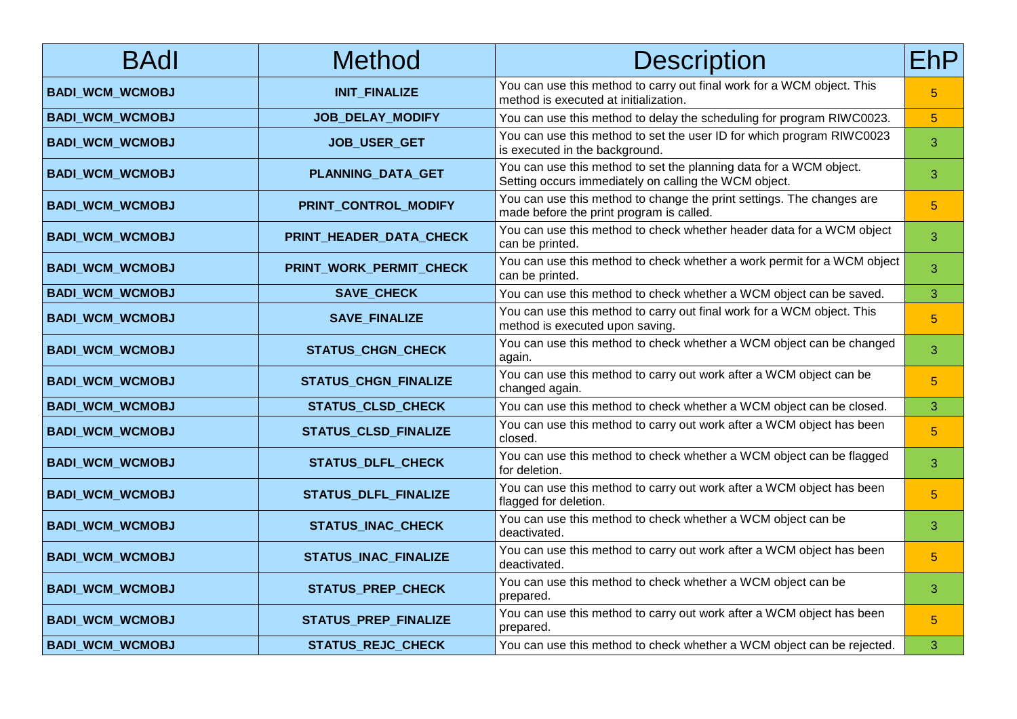| <b>BAdl</b>            | <b>Method</b>               | <b>Description</b>                                                                                                          | EhP            |
|------------------------|-----------------------------|-----------------------------------------------------------------------------------------------------------------------------|----------------|
| <b>BADI_WCM_WCMOBJ</b> | <b>INIT_FINALIZE</b>        | You can use this method to carry out final work for a WCM object. This<br>method is executed at initialization.             | $5\phantom{.}$ |
| <b>BADI_WCM_WCMOBJ</b> | JOB_DELAY_MODIFY            | You can use this method to delay the scheduling for program RIWC0023.                                                       | $\overline{5}$ |
| <b>BADI_WCM_WCMOBJ</b> | JOB_USER_GET                | You can use this method to set the user ID for which program RIWC0023<br>is executed in the background.                     | 3              |
| <b>BADI_WCM_WCMOBJ</b> | PLANNING_DATA_GET           | You can use this method to set the planning data for a WCM object.<br>Setting occurs immediately on calling the WCM object. | 3              |
| <b>BADI_WCM_WCMOBJ</b> | PRINT_CONTROL_MODIFY        | You can use this method to change the print settings. The changes are<br>made before the print program is called.           | $\overline{5}$ |
| <b>BADI_WCM_WCMOBJ</b> | PRINT_HEADER_DATA_CHECK     | You can use this method to check whether header data for a WCM object<br>can be printed.                                    | 3              |
| <b>BADI_WCM_WCMOBJ</b> | PRINT_WORK_PERMIT_CHECK     | You can use this method to check whether a work permit for a WCM object<br>can be printed.                                  | 3              |
| <b>BADI_WCM_WCMOBJ</b> | <b>SAVE_CHECK</b>           | You can use this method to check whether a WCM object can be saved.                                                         | 3              |
| <b>BADI_WCM_WCMOBJ</b> | <b>SAVE_FINALIZE</b>        | You can use this method to carry out final work for a WCM object. This<br>method is executed upon saving.                   | $\overline{5}$ |
| <b>BADI_WCM_WCMOBJ</b> | <b>STATUS_CHGN_CHECK</b>    | You can use this method to check whether a WCM object can be changed<br>again.                                              | 3              |
| <b>BADI_WCM_WCMOBJ</b> | <b>STATUS_CHGN_FINALIZE</b> | You can use this method to carry out work after a WCM object can be<br>changed again.                                       | $5\phantom{.}$ |
| <b>BADI_WCM_WCMOBJ</b> | STATUS_CLSD_CHECK           | You can use this method to check whether a WCM object can be closed.                                                        | 3              |
| <b>BADI_WCM_WCMOBJ</b> | <b>STATUS_CLSD_FINALIZE</b> | You can use this method to carry out work after a WCM object has been<br>closed.                                            | $5\phantom{.}$ |
| <b>BADI_WCM_WCMOBJ</b> | <b>STATUS_DLFL_CHECK</b>    | You can use this method to check whether a WCM object can be flagged<br>for deletion.                                       | 3              |
| <b>BADI_WCM_WCMOBJ</b> | <b>STATUS_DLFL_FINALIZE</b> | You can use this method to carry out work after a WCM object has been<br>flagged for deletion.                              | $5\phantom{.}$ |
| <b>BADI_WCM_WCMOBJ</b> | <b>STATUS_INAC_CHECK</b>    | You can use this method to check whether a WCM object can be<br>deactivated.                                                | 3              |
| <b>BADI_WCM_WCMOBJ</b> | <b>STATUS_INAC_FINALIZE</b> | You can use this method to carry out work after a WCM object has been<br>deactivated.                                       | $\overline{5}$ |
| <b>BADI_WCM_WCMOBJ</b> | <b>STATUS_PREP_CHECK</b>    | You can use this method to check whether a WCM object can be<br>prepared.                                                   | 3              |
| <b>BADI_WCM_WCMOBJ</b> | STATUS_PREP_FINALIZE        | You can use this method to carry out work after a WCM object has been<br>prepared.                                          | $\overline{5}$ |
| <b>BADI_WCM_WCMOBJ</b> | STATUS_REJC_CHECK           | You can use this method to check whether a WCM object can be rejected.                                                      | 3              |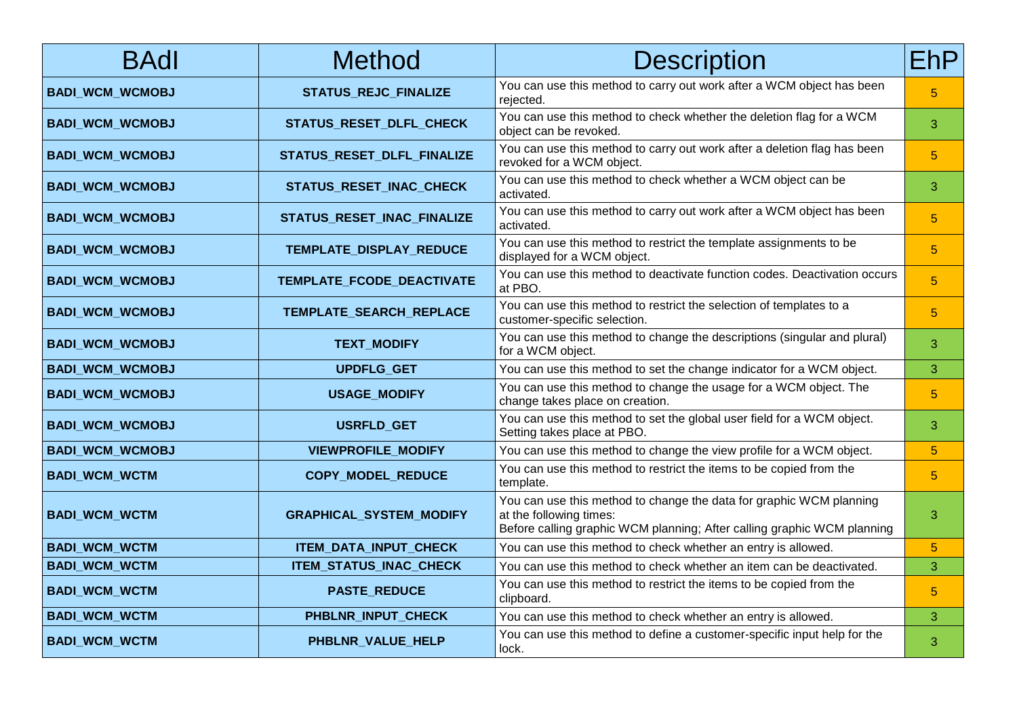| <b>BAdl</b>            | <b>Method</b>                  | <b>Description</b>                                                                                                                                                        | <b>EhP</b>      |
|------------------------|--------------------------------|---------------------------------------------------------------------------------------------------------------------------------------------------------------------------|-----------------|
| <b>BADI_WCM_WCMOBJ</b> | <b>STATUS_REJC_FINALIZE</b>    | You can use this method to carry out work after a WCM object has been<br>rejected.                                                                                        | $\overline{5}$  |
| <b>BADI_WCM_WCMOBJ</b> | STATUS_RESET_DLFL_CHECK        | You can use this method to check whether the deletion flag for a WCM<br>object can be revoked.                                                                            | 3               |
| <b>BADI_WCM_WCMOBJ</b> | STATUS_RESET_DLFL_FINALIZE     | You can use this method to carry out work after a deletion flag has been<br>revoked for a WCM object.                                                                     | $\overline{5}$  |
| <b>BADI_WCM_WCMOBJ</b> | STATUS_RESET_INAC_CHECK        | You can use this method to check whether a WCM object can be<br>activated.                                                                                                | 3               |
| <b>BADI_WCM_WCMOBJ</b> | STATUS_RESET_INAC_FINALIZE     | You can use this method to carry out work after a WCM object has been<br>activated.                                                                                       | $\overline{5}$  |
| <b>BADI_WCM_WCMOBJ</b> | TEMPLATE_DISPLAY_REDUCE        | You can use this method to restrict the template assignments to be<br>displayed for a WCM object.                                                                         | $5\phantom{.0}$ |
| <b>BADI_WCM_WCMOBJ</b> | TEMPLATE_FCODE_DEACTIVATE      | You can use this method to deactivate function codes. Deactivation occurs<br>at PBO.                                                                                      | $5\phantom{.}$  |
| <b>BADI_WCM_WCMOBJ</b> | TEMPLATE_SEARCH_REPLACE        | You can use this method to restrict the selection of templates to a<br>customer-specific selection.                                                                       | $\overline{5}$  |
| <b>BADI_WCM_WCMOBJ</b> | <b>TEXT_MODIFY</b>             | You can use this method to change the descriptions (singular and plural)<br>for a WCM object.                                                                             | 3               |
| <b>BADI_WCM_WCMOBJ</b> | UPDFLG_GET                     | You can use this method to set the change indicator for a WCM object.                                                                                                     | 3               |
| <b>BADI_WCM_WCMOBJ</b> | <b>USAGE_MODIFY</b>            | You can use this method to change the usage for a WCM object. The<br>change takes place on creation.                                                                      | 5               |
| <b>BADI_WCM_WCMOBJ</b> | USRFLD_GET                     | You can use this method to set the global user field for a WCM object.<br>Setting takes place at PBO.                                                                     | 3               |
| <b>BADI_WCM_WCMOBJ</b> | <b>VIEWPROFILE_MODIFY</b>      | You can use this method to change the view profile for a WCM object.                                                                                                      | $5\phantom{.0}$ |
| <b>BADI_WCM_WCTM</b>   | COPY_MODEL_REDUCE              | You can use this method to restrict the items to be copied from the<br>template.                                                                                          | $5\phantom{.0}$ |
| <b>BADI_WCM_WCTM</b>   | <b>GRAPHICAL_SYSTEM_MODIFY</b> | You can use this method to change the data for graphic WCM planning<br>at the following times:<br>Before calling graphic WCM planning; After calling graphic WCM planning | 3               |
| <b>BADI_WCM_WCTM</b>   | ITEM_DATA_INPUT_CHECK          | You can use this method to check whether an entry is allowed.                                                                                                             | $\overline{5}$  |
| <b>BADI_WCM_WCTM</b>   | ITEM_STATUS_INAC_CHECK         | You can use this method to check whether an item can be deactivated.                                                                                                      | 3               |
| <b>BADI_WCM_WCTM</b>   | <b>PASTE REDUCE</b>            | You can use this method to restrict the items to be copied from the<br>clipboard.                                                                                         | $5\phantom{.}$  |
| <b>BADI_WCM_WCTM</b>   | PHBLNR_INPUT_CHECK             | You can use this method to check whether an entry is allowed.                                                                                                             | 3               |
| <b>BADI_WCM_WCTM</b>   | PHBLNR_VALUE_HELP              | You can use this method to define a customer-specific input help for the<br>lock.                                                                                         | 3               |